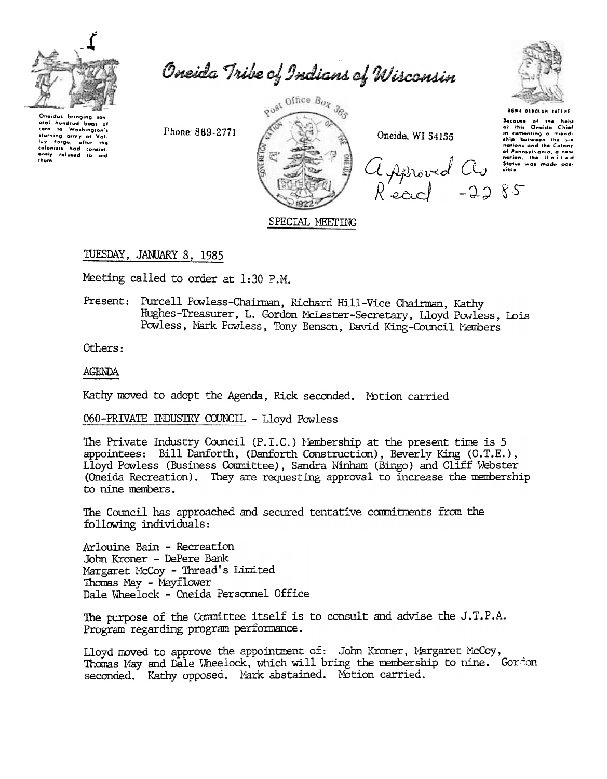

Oneida Tribe of Indians of Wisconsin

Onaidas bringing sov hundred bags of aral corn to Washington's carn to Washington's<br>starving army at Vali.<br>luy Forgu, after the<br>colonists had consist-<br>ently refused to ald<br>them.

Phone: 869-2771



Oneida, WI 54155

USWA OENOLUM TATENE Secause of the help<br>of this Oneido Chief<br>of this Cheido Chief<br>in companing o <sup>stread</sup><br>ship botween the six<br>nation, the Unit of the help<br>of Pannsylvania, a new<br>Sible<br>sible was mode pos-Approved Cly since

## TUESDAY, JANUARY 8, 1985

Meeting called to order at 1:30 P.M.

Present: Purcell Powless-Chairman, Richard Hill-Vice Chairman, Kathy Hughes-Treasurer, L. Gordon McLester-Secretary, Lloyd Powless, Lois Powless, Mark Powless, Tony Benson, David King-Council Members

Others:

#### **AGENDA**

Kathy moved to adopt the Agenda, Rick seconded. Motion carried

060-PRIVATE INDUSTRY COUNCIL - Lloyd Powless

The Private Industry Council (P.I.C.) Membership at the present time is 5 appointees: Bill Danforth, (Danforth Construction), Beverly King (C.T.E.), Lloyd Powless (Business Committee), Sandra Ninham (Bingo) and Cliff Webster (Oneida Recreation). They are requesting approval to increase the membership to nine members.

The Council has approached and secured tentative commitments from the following individuals:

Arlouine Bain - Recreation John Kroner - DePere Bank Margaret McCoy - Thread's Limited Thomas May - Mayflower Dale Wheelock - Oneida Personnel Office

The purpose of the Committee itself is to consult and advise the J.T.P.A. Program regarding program performance.

Lloyd moved to approve the appointment of: John Kroner, Margaret McCoy, Thomas May and Dale Wheelock, which will bring the membership to nine. Gordon seconded. Kathy opposed. Mark abstained. Motion carried.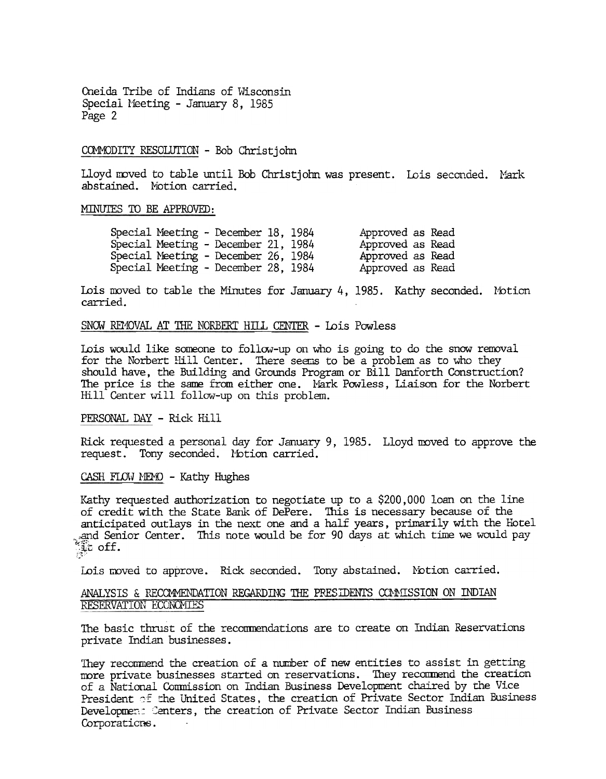Oneida Tribe of Indians of Wisconsin Special Meeting - January 8, 1985 Page 2

#### COMMODITY RESOLUTION - Bob Christjohn

Lloyd moved to table until Bob Christjohn was present. Lois seconded. Mark abstained. Motion carried.

## MINUTES TO BE APPROVED:

| Special Meeting - December 18, 1984 | Approved as Read |
|-------------------------------------|------------------|
| Special Meeting - December 21, 1984 | Approved as Read |
| Special Meeting - December 26, 1984 | Approved as Read |
| Special Meeting - December 28, 1984 | Approved as Read |

Lois moved to table the Minutes for January 4, 1985. Kathy seconded. Motion carried.

#### SNOW REMOVAL AT THE NORBERT HILL CENTER - Lois Powless

Lois would like someone to follow-up on who is going to do the snow removal for the Norbert Hill Center. There seems to be a problem as to who they should have, the Building and Grounds Program or Bill Danforth Construction? The price is the same from either one. Mark Powless, Liaison for the Norbert Hill Center will follow-up on this problem.

#### PERSONAL DAY - Rick Hill

Rick requested a personal day for January 9, 1985. Lloyd moved to approve the request. Tony seconded. Motion carried.

CASH FLOW MEMO - Kathy Hughes

Kathy requested authorization to negotiate up to a \$200,000 loan on the line of credit with the State Barlk of DePere. This is necessary because of the anticipated outlays in the next one and a half years, primarily with the Hotel ...~"1d Senior Center. This note would be for 90 days at which time we would pay  $\frac{1}{\sqrt{2}}$  of  $\frac{1}{\sqrt{2}}$ 

Lois moved to approve. Rick seconded. Tony abstained. Motion carried.

## ANALYSIS & RECOMMENDATION REGARDING THE PRESIDENTS CONNISSION ON INDIAN RESERVATION ECONOMIES

The basic thrust of the recommendations are to create on Indian Reservations private Indian businesses.

They recommend the creation of a number of new entities to assist in getting more private businesses started on reservations. They recommend the creation of a National Conmission on Indian Business Development chaired by the Vice President of the United States, the creation of Private Sector Indian Business Development Centers, the creation of Private Sector Indian Business Corporations.